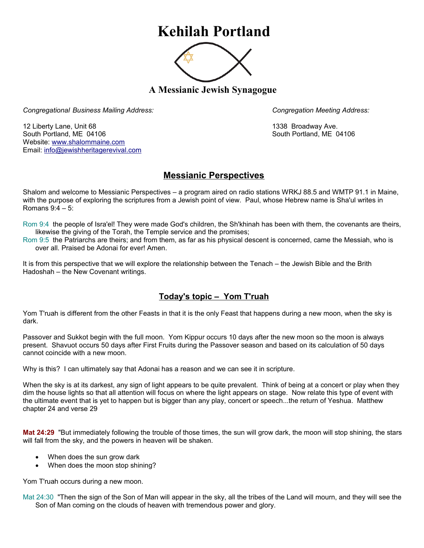## **Kehilah Portland**



**A Messianic Jewish Synagogue** 

*Congregational Business Mailing Address: Congregation Meeting Address:*

12 Liberty Lane, Unit 68 1338 Broadway Ave. South Portland, ME 04106 South Portland, ME 04106 Website: [www.shalommaine.com](http://www.shalommaine.com/) Email: [info@jewishheritagerevival.com](mailto:info@jewishheritagerevival.com) 

## **Messianic Perspectives**

Shalom and welcome to Messianic Perspectives – a program aired on radio stations WRKJ 88.5 and WMTP 91.1 in Maine, with the purpose of exploring the scriptures from a Jewish point of view. Paul, whose Hebrew name is Sha'ul writes in Romans 9:4 – 5:

Rom 9:4 the people of Isra'el! They were made God's children, the Sh'khinah has been with them, the covenants are theirs, likewise the giving of the Torah, the Temple service and the promises;

Rom 9:5 the Patriarchs are theirs; and from them, as far as his physical descent is concerned, came the Messiah, who is over all. Praised be Adonai for ever! Amen.

It is from this perspective that we will explore the relationship between the Tenach – the Jewish Bible and the Brith Hadoshah – the New Covenant writings.

## **Today's topic – Yom T'ruah**

Yom T'ruah is different from the other Feasts in that it is the only Feast that happens during a new moon, when the sky is dark.

Passover and Sukkot begin with the full moon. Yom Kippur occurs 10 days after the new moon so the moon is always present. Shavuot occurs 50 days after First Fruits during the Passover season and based on its calculation of 50 days cannot coincide with a new moon.

Why is this? I can ultimately say that Adonai has a reason and we can see it in scripture.

When the sky is at its darkest, any sign of light appears to be quite prevalent. Think of being at a concert or play when they dim the house lights so that all attention will focus on where the light appears on stage. Now relate this type of event with the ultimate event that is yet to happen but is bigger than any play, concert or speech...the return of Yeshua. Matthew chapter 24 and verse 29

**Mat 24:29** "But immediately following the trouble of those times, the sun will grow dark, the moon will stop shining, the stars will fall from the sky, and the powers in heaven will be shaken.

- When does the sun grow dark
- When does the moon stop shining?

Yom T'ruah occurs during a new moon.

Mat 24:30 "Then the sign of the Son of Man will appear in the sky, all the tribes of the Land will mourn, and they will see the Son of Man coming on the clouds of heaven with tremendous power and glory.